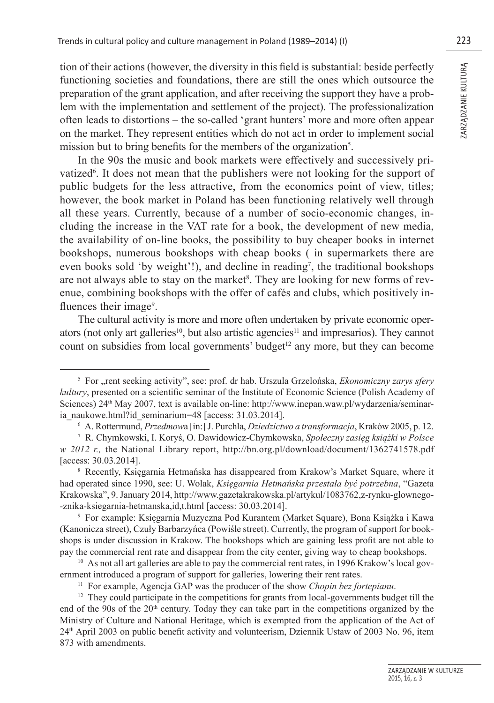tion of their actions (however, the diversity in this field is substantial; beside perfectly functioning societies and foundations, there are still the ones which outsource the preparation of the grant application, and after receiving the support they have a problem with the implementation and settlement of the project). The professionalization often leads to distortions – the so-called 'grant hunters' more and more often appear on the market. They represent entities which do not act in order to implement social mission but to bring benefits for the members of the organization<sup>5</sup>.

In the 90s the music and book markets were effectively and successively privatized<sup>6</sup>. It does not mean that the publishers were not looking for the support of public budgets for the less attractive, from the economics point of view, titles; however, the book market in Poland has been functioning relatively well through all these years. Currently, because of a number of socio-economic changes, including the increase in the VAT rate for a book, the development of new media, the availability of on-line books, the possibility to buy cheaper books in internet bookshops, numerous bookshops with cheap books ( in supermarkets there are even books sold 'by weight'!), and decline in reading<sup>7</sup>, the traditional bookshops are not always able to stay on the market<sup>8</sup>. They are looking for new forms of revenue, combining bookshops with the offer of cafés and clubs, which positively influences their image<sup>9</sup>.

The cultural activity is more and more often undertaken by private economic operators (not only art galleries<sup>10</sup>, but also artistic agencies<sup>11</sup> and impresarios). They cannot count on subsidies from local governments' budget<sup>12</sup> any more, but they can become

<sup>&</sup>lt;sup>5</sup> For "rent seeking activity", see: prof. dr hab. Urszula Grzelońska, *Ekonomiczny zarys sfery kultury*, presented on a scientific seminar of the Institute of Economic Science (Polish Academy of Sciences) 24<sup>th</sup> May 2007, text is available on-line: http://www.inepan.waw.pl/wydarzenia/seminaria\_naukowe.html?id\_seminarium=48 [access: 31.03.2014].

<sup>6</sup> A. Rottermund, *Przedmow*a [in:] J. Purchla, *Dziedzictwo a transformacja*, Kraków 2005, p. 12.

<sup>7</sup> R. Chymkowski, I. Koryś, O. Dawidowicz-Chymkowska, *Społeczny zasięg książki w Polsce w 2012 r.,* the National Library report, http://bn.org.pl/download/document/1362741578.pdf [access: 30.03.2014].

<sup>8</sup> Recently, Księgarnia Hetmańska has disappeared from Krakow's Market Square, where it had operated since 1990, see: U. Wolak, *Księgarnia Hetmańska przestała być potrzebna*, "Gazeta Krakowska", 9. January 2014, http://www.gazetakrakowska.pl/artykul/1083762,z-rynku-glownego- -znika-ksiegarnia-hetmanska,id,t.html [access: 30.03.2014].

<sup>9</sup> For example: Księgarnia Muzyczna Pod Kurantem (Market Square), Bona Książka i Kawa (Kanonicza street), Czuły Barbarzyńca (Powiśle street). Currently, the program of support for bookshops is under discussion in Krakow. The bookshops which are gaining less profi t are not able to pay the commercial rent rate and disappear from the city center, giving way to cheap bookshops.<br><sup>10</sup> As not all art galleries are able to pay the commercial rent rates, in 1996 Krakow's local gov-

ernment introduced a program of support for galleries, lowering their rent rates. 11 For example, Agencja GAP was the producer of the show *Chopin bez fortepianu*.

 $12$  They could participate in the competitions for grants from local-governments budget till the end of the 90s of the 20<sup>th</sup> century. Today they can take part in the competitions organized by the Ministry of Culture and National Heritage, which is exempted from the application of the Act of 24th April 2003 on public benefi t activity and volunteerism, Dziennik Ustaw of 2003 No. 96, item 873 with amendments.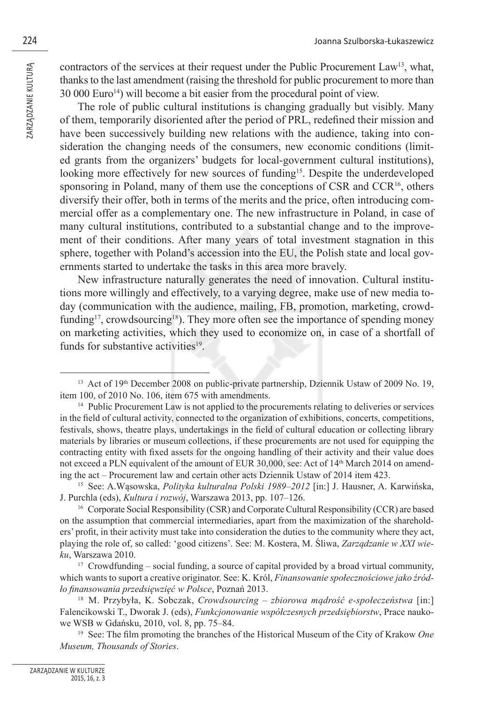contractors of the services at their request under the Public Procurement Law13, what, thanks to the last amendment (raising the threshold for public procurement to more than 30 000 Euro<sup>14</sup>) will become a bit easier from the procedural point of view.

The role of public cultural institutions is changing gradually but visibly. Many of them, temporarily disoriented after the period of PRL, redefined their mission and have been successively building new relations with the audience, taking into consideration the changing needs of the consumers, new economic conditions (limited grants from the organizers' budgets for local-government cultural institutions), looking more effectively for new sources of funding<sup>15</sup>. Despite the underdeveloped sponsoring in Poland, many of them use the conceptions of CSR and CCR<sup>16</sup>, others diversify their offer, both in terms of the merits and the price, often introducing commercial offer as a complementary one. The new infrastructure in Poland, in case of many cultural institutions, contributed to a substantial change and to the improvement of their conditions. After many years of total investment stagnation in this sphere, together with Poland's accession into the EU, the Polish state and local governments started to undertake the tasks in this area more bravely.

New infrastructure naturally generates the need of innovation. Cultural institutions more willingly and effectively, to a varying degree, make use of new media today (communication with the audience, mailing, FB, promotion, marketing, crowdfunding<sup>17</sup>, crowdsourcing<sup>18</sup>). They more often see the importance of spending money on marketing activities, which they used to economize on, in case of a shortfall of funds for substantive activities<sup>19</sup>.

<sup>&</sup>lt;sup>13</sup> Act of 19<sup>th</sup> December 2008 on public-private partnership, Dziennik Ustaw of 2009 No. 19, item 100, of 2010 No. 106, item 675 with amendments.

<sup>&</sup>lt;sup>14</sup> Public Procurement Law is not applied to the procurements relating to deliveries or services in the field of cultural activity, connected to the organization of exhibitions, concerts, competitions, festivals, shows, theatre plays, undertakings in the field of cultural education or collecting library materials by libraries or museum collections, if these procurements are not used for equipping the contracting entity with fixed assets for the ongoing handling of their activity and their value does not exceed a PLN equivalent of the amount of EUR 30,000, see: Act of 14<sup>th</sup> March 2014 on amending the act – Procurement law and certain other acts Dziennik Ustaw of 2014 item 423.

<sup>15</sup> See: A.Wąsowska, *Polityka kulturalna Polski 1989–2012* [in:] J. Hausner, A. Karwińska, J. Purchla (eds), *Kultura i rozwój*, Warszawa 2013, pp. 107–126.

<sup>16</sup> Corporate Social Responsibility (CSR) and Corporate Cultural Responsibility (CCR) are based on the assumption that commercial intermediaries, apart from the maximization of the shareholders' profit, in their activity must take into consideration the duties to the community where they act, playing the role of, so called: 'good citizens'. See: M. Kostera, M. Śliwa, *Zarządzanie w XXI wieku*, Warszawa 2010.

<sup>&</sup>lt;sup>17</sup> Crowdfunding – social funding, a source of capital provided by a broad virtual community, which wants to suport a creative originator. See: K. Król, *Finansowanie społecznościowe jako źródło fi nansowania przedsięwzięć w Polsce*, Poznań 2013.

<sup>18</sup> M. Przybyła, K. Sobczak, *Crowdsourcing – zbiorowa mądrość e-społeczeństwa* [in:] Falencikowski T., Dworak J. (eds), *Funkcjonowanie współczesnych przedsiębiorstw*, Prace naukowe WSB w Gdańsku, 2010, vol. 8, pp. 75–84.

<sup>&</sup>lt;sup>19</sup> See: The film promoting the branches of the Historical Museum of the City of Krakow *One Museum, Thousands of Stories*.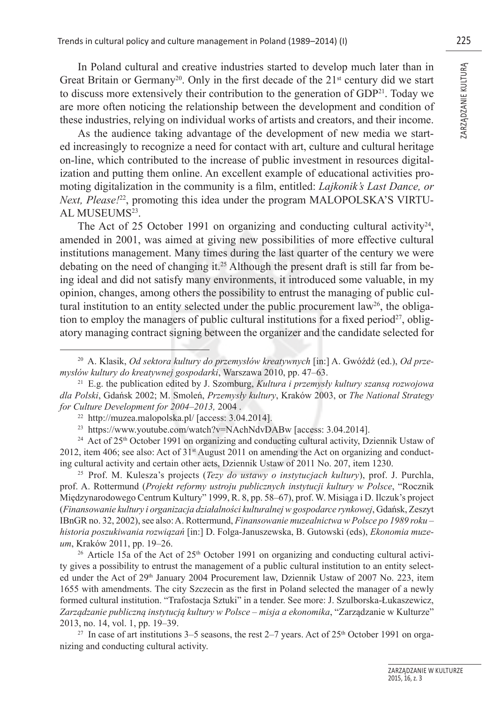In Poland cultural and creative industries started to develop much later than in Great Britain or Germany<sup>20</sup>. Only in the first decade of the  $21<sup>st</sup>$  century did we start to discuss more extensively their contribution to the generation of  $GDP<sup>21</sup>$ . Today we are more often noticing the relationship between the development and condition of these industries, relying on individual works of artists and creators, and their income.

As the audience taking advantage of the development of new media we started increasingly to recognize a need for contact with art, culture and cultural heritage on-line, which contributed to the increase of public investment in resources digitalization and putting them online. An excellent example of educational activities promoting digitalization in the community is a film, entitled: *Lajkonik's Last Dance, or Next, Please!*22, promoting this idea under the program MALOPOLSKA'S VIRTU-AL MUSEUMS23.

The Act of 25 October 1991 on organizing and conducting cultural activity<sup>24</sup>, amended in 2001, was aimed at giving new possibilities of more effective cultural institutions management. Many times during the last quarter of the century we were debating on the need of changing it.25 Although the present draft is still far from being ideal and did not satisfy many environments, it introduced some valuable, in my opinion, changes, among others the possibility to entrust the managing of public cultural institution to an entity selected under the public procurement law<sup>26</sup>, the obligation to employ the managers of public cultural institutions for a fixed period<sup>27</sup>, obligatory managing contract signing between the organizer and the candidate selected for

<sup>24</sup> Act of 25<sup>th</sup> October 1991 on organizing and conducting cultural activity, Dziennik Ustaw of 2012, item 406; see also: Act of  $31<sup>st</sup>$  August 2011 on amending the Act on organizing and conducting cultural activity and certain other acts, Dziennik Ustaw of 2011 No. 207, item 1230.

25 Prof. M. Kulesza's projects (*Tezy do ustawy o instytucjach kultury*), prof. J. Purchla, prof. A. Rottermund (*Projekt reformy ustroju publicznych instytucji kultury w Polsce*, "Rocznik Międzynarodowego Centrum Kultury" 1999, R. 8, pp. 58–67), prof. W. Misiąga i D. Ilczuk's project (*Finansowanie kultury i organizacja działalności kulturalnej w gospodarce rynkowej*, Gdańsk, Zeszyt IBnGR no. 32, 2002), see also: A. Rottermund, *Finansowanie muzealnictwa w Polsce po 1989 roku – historia poszukiwania rozwiązań* [in:] D. Folga-Januszewska, B. Gutowski (eds), *Ekonomia muzeum*, Kraków 2011, pp. 19–26.

<sup>26</sup> Article 15a of the Act of  $25<sup>th</sup>$  October 1991 on organizing and conducting cultural activity gives a possibility to entrust the management of a public cultural institution to an entity selected under the Act of 29<sup>th</sup> January 2004 Procurement law, Dziennik Ustaw of 2007 No. 223, item 1655 with amendments. The city Szczecin as the first in Poland selected the manager of a newly formed cultural institution. "Trafostacja Sztuki" in a tender. See more: J. Szulborska-Łukaszewicz, *Zarządzanie publiczną instytucją kultury w Polsce – misja a ekonomika*, "Zarządzanie w Kulturze" 2013, no. 14, vol. 1, pp. 19–39.

<sup>27</sup> In case of art institutions  $3-5$  seasons, the rest  $2-7$  years. Act of  $25<sup>th</sup>$  October 1991 on organizing and conducting cultural activity.

<sup>20</sup> A. Klasik, *Od sektora kultury do przemysłów kreatywnych* [in:] A. Gwóźdź (ed.), *Od przemysłów kultury do kreatywnej gospodarki*, Warszawa 2010, pp. 47–63.

<sup>21</sup> E.g. the publication edited by J. Szomburg, *Kultura i przemysły kultury szansą rozwojowa dla Polski*, Gdańsk 2002; M. Smoleń, *Przemysły kultury*, Kraków 2003, or *The National Strategy for Culture Development for 2004–2013, 2004*.<br><sup>22</sup> http://muzea.malopolska.pl/ [access: 3.04.2014].

<sup>23</sup> https://www.youtube.com/watch?v=NAchNdvDABw [access: 3.04.2014].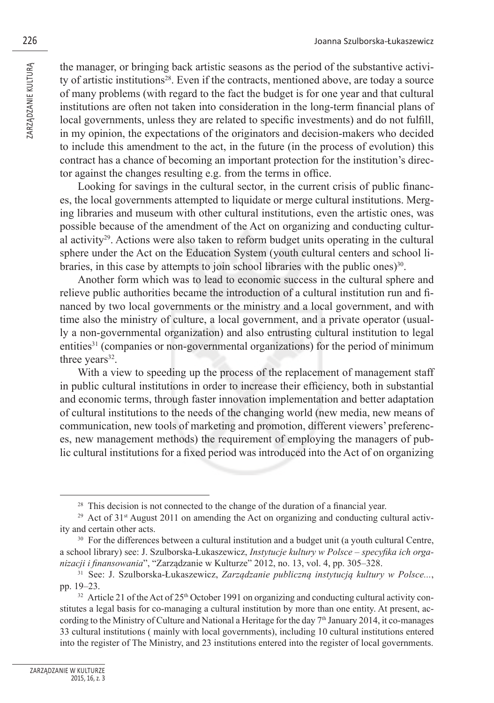the manager, or bringing back artistic seasons as the period of the substantive activity of artistic institutions28. Even if the contracts, mentioned above, are today a source of many problems (with regard to the fact the budget is for one year and that cultural institutions are often not taken into consideration in the long-term financial plans of local governments, unless they are related to specific investments) and do not fulfill, in my opinion, the expectations of the originators and decision-makers who decided to include this amendment to the act, in the future (in the process of evolution) this contract has a chance of becoming an important protection for the institution's director against the changes resulting e.g. from the terms in office.

Looking for savings in the cultural sector, in the current crisis of public finances, the local governments attempted to liquidate or merge cultural institutions. Merging libraries and museum with other cultural institutions, even the artistic ones, was possible because of the amendment of the Act on organizing and conducting cultural activity<sup>29</sup>. Actions were also taken to reform budget units operating in the cultural sphere under the Act on the Education System (youth cultural centers and school libraries, in this case by attempts to join school libraries with the public ones) $30$ .

Another form which was to lead to economic success in the cultural sphere and relieve public authorities became the introduction of a cultural institution run and financed by two local governments or the ministry and a local government, and with time also the ministry of culture, a local government, and a private operator (usually a non-governmental organization) and also entrusting cultural institution to legal entities<sup>31</sup> (companies or non-governmental organizations) for the period of minimum three years<sup>32</sup>.

With a view to speeding up the process of the replacement of management staff in public cultural institutions in order to increase their efficiency, both in substantial and economic terms, through faster innovation implementation and better adaptation of cultural institutions to the needs of the changing world (new media, new means of communication, new tools of marketing and promotion, different viewers' preferences, new management methods) the requirement of employing the managers of public cultural institutions for a fixed period was introduced into the Act of on organizing

<sup>&</sup>lt;sup>28</sup> This decision is not connected to the change of the duration of a financial year.<br><sup>29</sup> Act of 31<sup>st</sup> August 2011 on amending the Act on organizing and conducting cultural activity and certain other acts.

<sup>&</sup>lt;sup>30</sup> For the differences between a cultural institution and a budget unit (a youth cultural Centre, a school library) see: J. Szulborska-Łukaszewicz, *Instytucje kultury w Polsce – specyfika ich orga*nizacji i finansowania", "Zarządzanie w Kulturze" 2012, no. 13, vol. 4, pp. 305–328.<br><sup>31</sup> See: J. Szulborska-Łukaszewicz, *Zarządzanie publiczną instytucją kultury w Polsce...*,

pp. 19–23.

 $32$  Article 21 of the Act of 25<sup>th</sup> October 1991 on organizing and conducting cultural activity constitutes a legal basis for co-managing a cultural institution by more than one entity. At present, according to the Ministry of Culture and National a Heritage for the day  $7<sup>th</sup>$  January 2014, it co-manages 33 cultural institutions ( mainly with local governments), including 10 cultural institutions entered into the register of The Ministry, and 23 institutions entered into the register of local governments.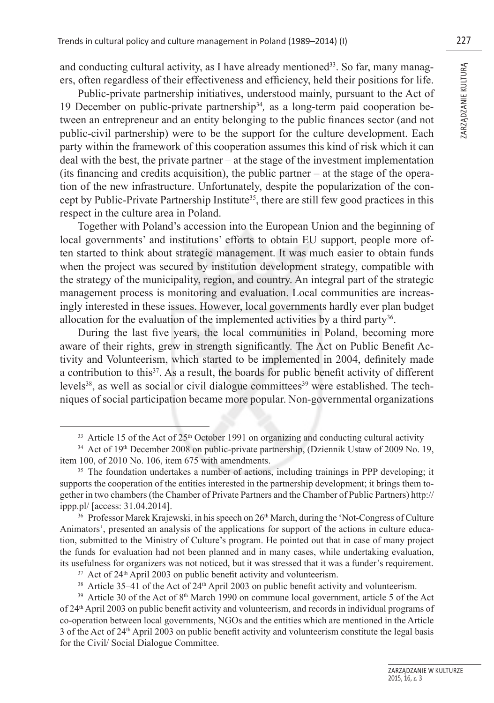and conducting cultural activity, as I have already mentioned<sup>33</sup>. So far, many managers, often regardless of their effectiveness and efficiency, held their positions for life.

Public-private partnership initiatives, understood mainly, pursuant to the Act of 19 December on public-private partnership34*,* as a long-term paid cooperation between an entrepreneur and an entity belonging to the public finances sector (and not public-civil partnership) were to be the support for the culture development. Each party within the framework of this cooperation assumes this kind of risk which it can deal with the best, the private partner – at the stage of the investment implementation (its financing and credits acquisition), the public partner  $-$  at the stage of the operation of the new infrastructure. Unfortunately, despite the popularization of the concept by Public-Private Partnership Institute<sup>35</sup>, there are still few good practices in this respect in the culture area in Poland.

Together with Poland's accession into the European Union and the beginning of local governments' and institutions' efforts to obtain EU support, people more often started to think about strategic management. It was much easier to obtain funds when the project was secured by institution development strategy, compatible with the strategy of the municipality, region, and country. An integral part of the strategic management process is monitoring and evaluation. Local communities are increasingly interested in these issues. However, local governments hardly ever plan budget allocation for the evaluation of the implemented activities by a third party<sup>36</sup>.

During the last five years, the local communities in Poland, becoming more aware of their rights, grew in strength significantly. The Act on Public Benefit Activity and Volunteerism, which started to be implemented in 2004, definitely made a contribution to this<sup>37</sup>. As a result, the boards for public benefit activity of different levels<sup>38</sup>, as well as social or civil dialogue committees<sup>39</sup> were established. The techniques of social participation became more popular. Non-governmental organizations

<sup>&</sup>lt;sup>33</sup> Article 15 of the Act of  $25<sup>th</sup>$  October 1991 on organizing and conducting cultural activity

<sup>&</sup>lt;sup>34</sup> Act of 19<sup>th</sup> December 2008 on public-private partnership, (Dziennik Ustaw of 2009 No. 19, item 100, of 2010 No. 106, item 675 with amendments.

<sup>&</sup>lt;sup>35</sup> The foundation undertakes a number of actions, including trainings in PPP developing; it supports the cooperation of the entities interested in the partnership development; it brings them together in two chambers (the Chamber of Private Partners and the Chamber of Public Partners) http:// ippp.pl/ [access: 31.04.2014].

<sup>&</sup>lt;sup>36</sup> Professor Marek Krajewski, in his speech on 26<sup>th</sup> March, during the 'Not-Congress of Culture' Animators', presented an analysis of the applications for support of the actions in culture education, submitted to the Ministry of Culture's program. He pointed out that in case of many project the funds for evaluation had not been planned and in many cases, while undertaking evaluation, its usefulness for organizers was not noticed, but it was stressed that it was a funder's requirement. 37 Act of 24th April 2003 on public benefi t activity and volunteerism.

 $38$  Article 35–41 of the Act of  $24<sup>th</sup>$  April 2003 on public benefit activity and volunteerism.

 $39$  Article 30 of the Act of  $8<sup>th</sup>$  March 1990 on commune local government, article 5 of the Act of 24th April 2003 on public benefi t activity and volunteerism, and records in individual programs of co-operation between local governments, NGOs and the entities which are mentioned in the Article 3 of the Act of 24th April 2003 on public benefi t activity and volunteerism constitute the legal basis for the Civil/ Social Dialogue Committee.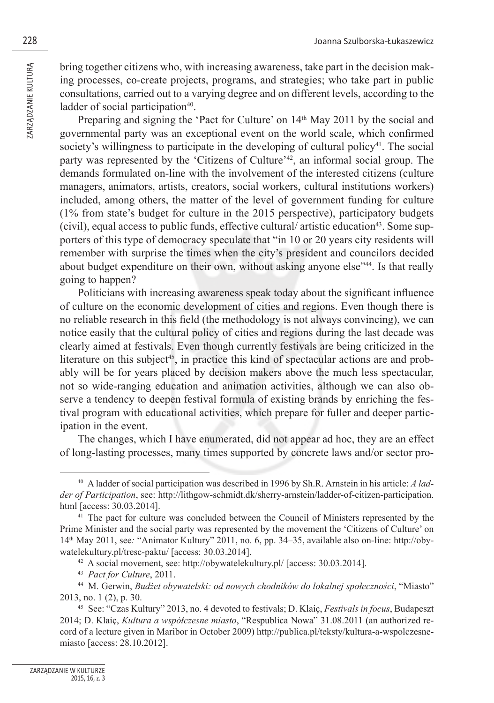bring together citizens who, with increasing awareness, take part in the decision making processes, co-create projects, programs, and strategies; who take part in public consultations, carried out to a varying degree and on different levels, according to the ladder of social participation<sup>40</sup>.

Preparing and signing the 'Pact for Culture' on 14<sup>th</sup> May 2011 by the social and governmental party was an exceptional event on the world scale, which confirmed society's willingness to participate in the developing of cultural policy<sup>41</sup>. The social party was represented by the 'Citizens of Culture'42, an informal social group. The demands formulated on-line with the involvement of the interested citizens (culture managers, animators, artists, creators, social workers, cultural institutions workers) included, among others, the matter of the level of government funding for culture (1% from state's budget for culture in the 2015 perspective), participatory budgets (civil), equal access to public funds, effective cultural/ artistic education<sup>43</sup>. Some supporters of this type of democracy speculate that "in 10 or 20 years city residents will remember with surprise the times when the city's president and councilors decided about budget expenditure on their own, without asking anyone else"44. Is that really going to happen?

Politicians with increasing awareness speak today about the significant influence of culture on the economic development of cities and regions. Even though there is no reliable research in this field (the methodology is not always convincing), we can notice easily that the cultural policy of cities and regions during the last decade was clearly aimed at festivals. Even though currently festivals are being criticized in the literature on this subject<sup>45</sup>, in practice this kind of spectacular actions are and probably will be for years placed by decision makers above the much less spectacular, not so wide-ranging education and animation activities, although we can also observe a tendency to deepen festival formula of existing brands by enriching the festival program with educational activities, which prepare for fuller and deeper participation in the event.

The changes, which I have enumerated, did not appear ad hoc, they are an effect of long-lasting processes, many times supported by concrete laws and/or sector pro-

<sup>40</sup> A ladder of social participation was described in 1996 by Sh.R. Arnstein in his article: *A ladder of Participation*, see: http://lithgow-schmidt.dk/sherry-arnstein/ladder-of-citizen-participation. html [access: 30.03.2014].

<sup>41</sup> The pact for culture was concluded between the Council of Ministers represented by the Prime Minister and the social party was represented by the movement the 'Citizens of Culture' on 14th May 2011, see*:* "Animator Kultury" 2011, no. 6, pp. 34–35, available also on-line: http://obywatelekultury.pl/tresc-paktu/ [access: 30.03.2014].

<sup>42</sup> A social movement, see: http://obywatelekultury.pl/ [access: 30.03.2014].

<sup>43</sup> *Pact for Culture*, 2011.

<sup>44</sup> M. Gerwin, *Budżet obywatelski: od nowych chodników do lokalnej społeczności*, "Miasto" 2013, no. 1 (2), p. 30.

<sup>45</sup> See: "Czas Kultury" 2013, no. 4 devoted to festivals; D. Klaiç, *Festivals in focus*, Budapeszt 2014; D. Klaiç, *Kultura a współczesne miasto*, "Respublica Nowa" 31.08.2011 (an authorized record of a lecture given in Maribor in October 2009) http://publica.pl/teksty/kultura-a-wspolczesnemiasto [access: 28.10.2012].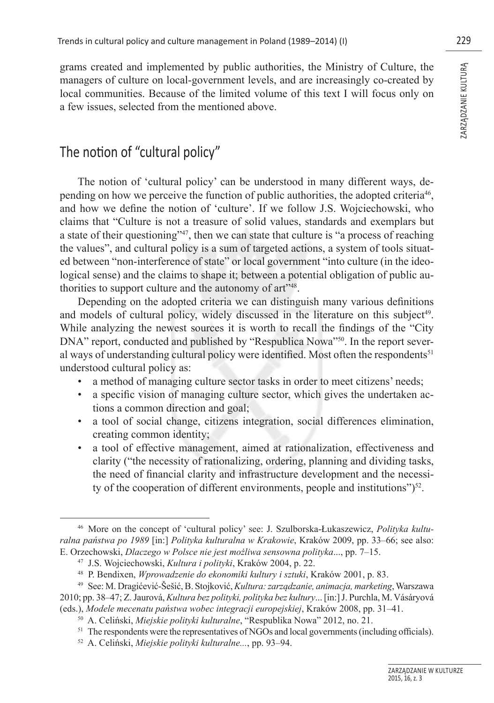grams created and implemented by public authorities, the Ministry of Culture, the managers of culture on local-government levels, and are increasingly co-created by local communities. Because of the limited volume of this text I will focus only on a few issues, selected from the mentioned above.

# The notion of "cultural policy"

The notion of 'cultural policy' can be understood in many different ways, depending on how we perceive the function of public authorities, the adopted criteria46, and how we define the notion of 'culture'. If we follow J.S. Wojciechowski, who claims that "Culture is not a treasure of solid values, standards and exemplars but a state of their questioning"47, then we can state that culture is "a process of reaching the values", and cultural policy is a sum of targeted actions, a system of tools situated between "non-interference of state" or local government "into culture (in the ideological sense) and the claims to shape it; between a potential obligation of public authorities to support culture and the autonomy of art"48.

Depending on the adopted criteria we can distinguish many various definitions and models of cultural policy, widely discussed in the literature on this subject<sup>49</sup>. While analyzing the newest sources it is worth to recall the findings of the "City" DNA" report, conducted and published by "Respublica Nowa"<sup>50</sup>. In the report several ways of understanding cultural policy were identified. Most often the respondents $51$ understood cultural policy as:

- a method of managing culture sector tasks in order to meet citizens' needs;
- a specific vision of managing culture sector, which gives the undertaken actions a common direction and goal;
- a tool of social change, citizens integration, social differences elimination, creating common identity;
- a tool of effective management, aimed at rationalization, effectiveness and clarity ("the necessity of rationalizing, ordering, planning and dividing tasks, the need of financial clarity and infrastructure development and the necessity of the cooperation of different environments, people and institutions" $)^{52}$ .

<sup>46</sup> More on the concept of 'cultural policy' see: J. Szulborska-Łukaszewicz, *Polityka kulturalna państwa po 1989* [in:] *Polityka kulturalna w Krakowie*, Kraków 2009, pp. 33–66; see also: E. Orzechowski, *Dlaczego w Polsce nie jest możliwa sensowna polityka*..., pp. 7–15.

<sup>47</sup> J.S. Wojciechowski, *Kultura i polityki*, Kraków 2004, p. 22.

<sup>48</sup> P. Bendixen, *Wprowadzenie do ekonomiki kultury i sztuki*, Kraków 2001, p. 83.

<sup>49</sup> See: M. Dragićević-Šešić, B. Stojković, *Kultura: zarządzanie, animacja, marketing*, Warszawa 2010; pp. 38–47; Z. Jaurová, *Kultura bez polityki, polityka bez kultury*... [in:] J. Purchla, M. Vásáryová (eds.), *Modele mecenatu państwa wobec integracji europejskiej*, Kraków 2008, pp. 31–41.

<sup>50</sup> A. Celiński, *Miejskie polityki kulturalne*, "Respublika Nowa" 2012, no. 21.

<sup>&</sup>lt;sup>51</sup> The respondents were the representatives of NGOs and local governments (including officials). <sup>52</sup> A. Celiński, *Miejskie polityki kulturalne...*, pp. 93–94.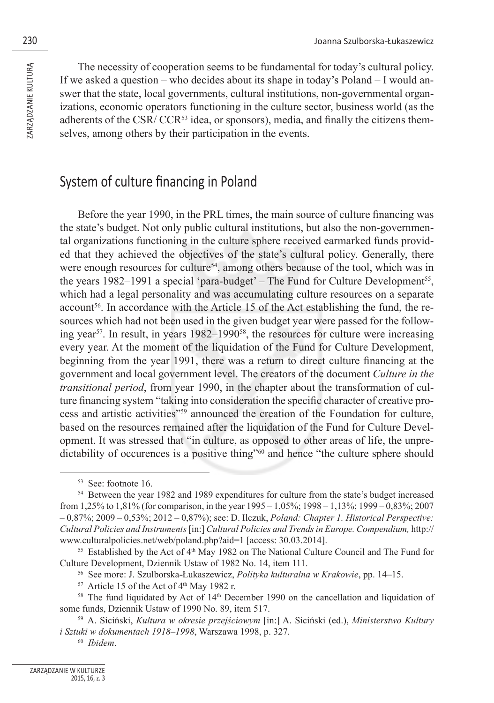The necessity of cooperation seems to be fundamental for today's cultural policy. If we asked a question – who decides about its shape in today's Poland – I would answer that the state, local governments, cultural institutions, non-governmental organizations, economic operators functioning in the culture sector, business world (as the adherents of the CSR/ CCR<sup>53</sup> idea, or sponsors), media, and finally the citizens themselves, among others by their participation in the events.

### System of culture financing in Poland

Before the year 1990, in the PRL times, the main source of culture financing was the state's budget. Not only public cultural institutions, but also the non-governmental organizations functioning in the culture sphere received earmarked funds provided that they achieved the objectives of the state's cultural policy. Generally, there were enough resources for culture<sup>54</sup>, among others because of the tool, which was in the years 1982–1991 a special 'para-budget' – The Fund for Culture Development<sup>55</sup>, which had a legal personality and was accumulating culture resources on a separate account<sup>56</sup>. In accordance with the Article 15 of the Act establishing the fund, the resources which had not been used in the given budget year were passed for the following year<sup>57</sup>. In result, in years  $1982-1990<sup>58</sup>$ , the resources for culture were increasing every year. At the moment of the liquidation of the Fund for Culture Development, beginning from the year 1991, there was a return to direct culture financing at the government and local government level. The creators of the document *Culture in the transitional period*, from year 1990, in the chapter about the transformation of culture financing system "taking into consideration the specific character of creative process and artistic activities"59 announced the creation of the Foundation for culture, based on the resources remained after the liquidation of the Fund for Culture Development. It was stressed that "in culture, as opposed to other areas of life, the unpredictability of occurences is a positive thing"60 and hence "the culture sphere should

<sup>60</sup> *Ibidem*.

<sup>53</sup> See: footnote 16.

<sup>54</sup> Between the year 1982 and 1989 expenditures for culture from the state's budget increased from 1,25% to 1,81% (for comparison, in the year 1995 – 1,05%; 1998 – 1,13%; 1999 – 0,83%; 2007 – 0,87%; 2009 – 0,53%; 2012 – 0,87%); see: D. Ilczuk, *Poland: Chapter 1. Historical Perspective: Cultural Policies and Instruments* [in:] *Cultural Policies and Trends in Europe. Compendium,* http:// www.culturalpolicies.net/web/poland.php?aid=1 [access: 30.03.2014].

 $55$  Established by the Act of  $4<sup>th</sup>$  May 1982 on The National Culture Council and The Fund for Culture Development, Dziennik Ustaw of 1982 No. 14, item 111.

<sup>56</sup> See more: J. Szulborska-Łukaszewicz, *Polityka kulturalna w Krakowie*, pp. 14–15.

 $57$  Article 15 of the Act of  $4<sup>th</sup>$  May 1982 r.

 $58$  The fund liquidated by Act of  $14<sup>th</sup>$  December 1990 on the cancellation and liquidation of some funds, Dziennik Ustaw of 1990 No. 89, item 517.

<sup>59</sup> A. Siciński, *Kultura w okresie przejściowym* [in:] A. Siciński (ed.), *Ministerstwo Kultury i Sztuki w dokumentach 1918–1998*, Warszawa 1998, p. 327.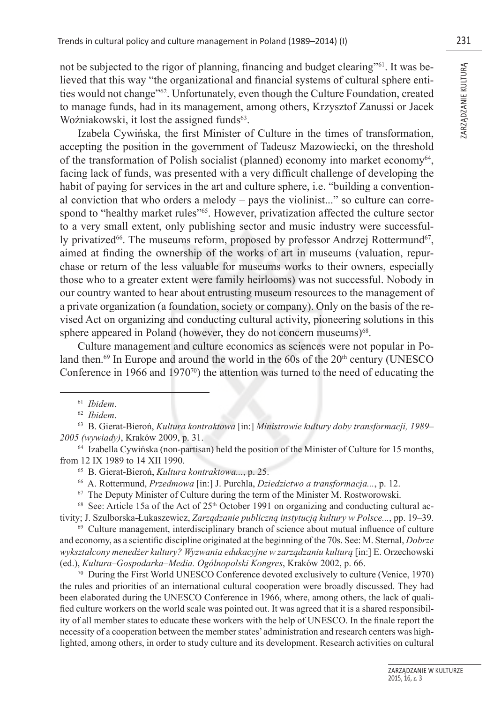not be subjected to the rigor of planning, financing and budget clearing<sup>761</sup>. It was believed that this way "the organizational and financial systems of cultural sphere entities would not change"62. Unfortunately, even though the Culture Foundation, created to manage funds, had in its management, among others, Krzysztof Zanussi or Jacek Woźniakowski, it lost the assigned funds $63$ .

Izabela Cywińska, the first Minister of Culture in the times of transformation, accepting the position in the government of Tadeusz Mazowiecki, on the threshold of the transformation of Polish socialist (planned) economy into market economy<sup>64</sup>, facing lack of funds, was presented with a very difficult challenge of developing the habit of paying for services in the art and culture sphere, i.e. "building a conventional conviction that who orders a melody – pays the violinist..." so culture can correspond to "healthy market rules"<sup>65</sup>. However, privatization affected the culture sector to a very small extent, only publishing sector and music industry were successfully privatized<sup>66</sup>. The museums reform, proposed by professor Andrzej Rottermund<sup>67</sup>, aimed at finding the ownership of the works of art in museums (valuation, repurchase or return of the less valuable for museums works to their owners, especially those who to a greater extent were family heirlooms) was not successful. Nobody in our country wanted to hear about entrusting museum resources to the management of a private organization (a foundation, society or company). Only on the basis of the revised Act on organizing and conducting cultural activity, pioneering solutions in this sphere appeared in Poland (however, they do not concern museums) $68$ .

Culture management and culture economics as sciences were not popular in Poland then.<sup>69</sup> In Europe and around the world in the 60s of the  $20<sup>th</sup>$  century (UNESCO) Conference in 1966 and 1970 $\frac{70}{2}$  the attention was turned to the need of educating the

<sup>61</sup> *Ibidem*.

<sup>62</sup> *Ibidem*.

<sup>63</sup> B. Gierat-Bieroń, *Kultura kontraktowa* [in:] *Ministrowie kultury doby transformacji, 1989– 2005 (wywiady)*, Kraków 2009, p. 31.

<sup>64</sup> Izabella Cywińska (non-partisan) held the position of the Minister of Culture for 15 months, from 12 IX 1989 to 14 XII 1990.

<sup>65</sup> B. Gierat-Bieroń, *Kultura kontraktowa...*, p. 25.

<sup>66</sup> A. Rottermund, *Przedmowa* [in:] J. Purchla, *Dziedzictwo a transformacja...*, p. 12.

<sup>67</sup> The Deputy Minister of Culture during the term of the Minister M. Rostworowski.

 $68$  See: Article 15a of the Act of  $25<sup>th</sup>$  October 1991 on organizing and conducting cultural activity; J. Szulborska-Łukaszewicz, *Zarządzanie publiczną instytucją kultury w Polsce...*, pp. 19–39.

 $69$  Culture management, interdisciplinary branch of science about mutual influence of culture and economy, as a scientific discipline originated at the beginning of the 70s. See: M. Sternal, *Dobrze wykształcony menedżer kultury? Wyzwania edukacyjne w zarządzaniu kulturą* [in:] E. Orzechowski (ed.), *Kultura–Gospodarka–Media. Ogólnopolski Kongres*, Kraków 2002, p. 66.

<sup>70</sup> During the First World UNESCO Conference devoted exclusively to culture (Venice, 1970) the rules and priorities of an international cultural cooperation were broadly discussed. They had been elaborated during the UNESCO Conference in 1966, where, among others, the lack of qualified culture workers on the world scale was pointed out. It was agreed that it is a shared responsibility of all member states to educate these workers with the help of UNESCO. In the finale report the necessity of a cooperation between the member states' administration and research centers was highlighted, among others, in order to study culture and its development. Research activities on cultural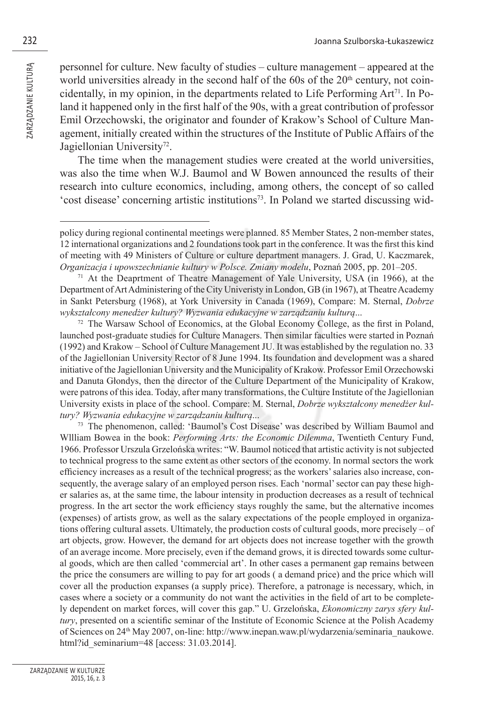personnel for culture. New faculty of studies – culture management – appeared at the world universities already in the second half of the  $60s$  of the  $20<sup>th</sup>$  century, not coincidentally, in my opinion, in the departments related to Life Performing  $Art<sup>71</sup>$ . In Poland it happened only in the first half of the 90s, with a great contribution of professor Emil Orzechowski, the originator and founder of Krakow's School of Culture Management, initially created within the structures of the Institute of Public Affairs of the Jagiellonian University<sup>72</sup>.

The time when the management studies were created at the world universities, was also the time when W.J. Baumol and W Bowen announced the results of their research into culture economics, including, among others, the concept of so called 'cost disease' concerning artistic institutions73. In Poland we started discussing wid-

 $71$  At the Deaprtment of Theatre Management of Yale University, USA (in 1966), at the Department of Art Administering of the City Univeristy in London, GB (in 1967), at Theatre Academy in Sankt Petersburg (1968), at York University in Canada (1969), Compare: M. Sternal, *Dobrze wykształcony menedżer kultury? Wyzwania edukacyjne w zarządzaniu kulturą*...

 $72$  The Warsaw School of Economics, at the Global Economy College, as the first in Poland, launched post-graduate studies for Culture Managers. Then similar faculties were started in Poznań (1992) and Krakow – School of Culture Management JU. It was established by the regulation no. 33 of the Jagiellonian University Rector of 8 June 1994. Its foundation and development was a shared initiative of the Jagiellonian University and the Municipality of Krakow. Professor Emil Orzechowski and Danuta Głondys, then the director of the Culture Department of the Municipality of Krakow, were patrons of this idea. Today, after many transformations, the Culture Institute of the Jagiellonian University exists in place of the school. Compare: M. Sternal, *Dobrze wykształcony menedżer kultury? Wyzwania edukacyjne w zarządzaniu kulturą*...

73 The phenomenon, called: 'Baumol's Cost Disease' was described by William Baumol and Wllliam Bowea in the book: *Performing Arts: the Economic Dilemma*, Twentieth Century Fund, 1966. Professor Urszula Grzelońska writes: "W. Baumol noticed that artistic activity is not subjected to technical progress to the same extent as other sectors of the economy. In normal sectors the work efficiency increases as a result of the technical progress; as the workers' salaries also increase, consequently, the average salary of an employed person rises. Each 'normal' sector can pay these higher salaries as, at the same time, the labour intensity in production decreases as a result of technical progress. In the art sector the work efficiency stays roughly the same, but the alternative incomes (expenses) of artists grow, as well as the salary expectations of the people employed in organizations offering cultural assets. Ultimately, the production costs of cultural goods, more precisely – of art objects, grow. However, the demand for art objects does not increase together with the growth of an average income. More precisely, even if the demand grows, it is directed towards some cultural goods, which are then called 'commercial art'. In other cases a permanent gap remains between the price the consumers are willing to pay for art goods ( a demand price) and the price which will cover all the production expanses (a supply price). Therefore, a patronage is necessary, which, in cases where a society or a community do not want the activities in the field of art to be completely dependent on market forces, will cover this gap." U. Grzelońska, *Ekonomiczny zarys sfery kultury*, presented on a scientific seminar of the Institute of Economic Science at the Polish Academy of Sciences on 24th May 2007, on-line: http://www.inepan.waw.pl/wydarzenia/seminaria\_naukowe. html?id\_seminarium=48 [access: 31.03.2014].

policy during regional continental meetings were planned. 85 Member States, 2 non-member states, 12 international organizations and 2 foundations took part in the conference. It was the first this kind of meeting with 49 Ministers of Culture or culture department managers. J. Grad, U. Kaczmarek, *Organizacja i upowszechnianie kultury w Polsce. Zmiany modelu*, Poznań 2005, pp. 201–205.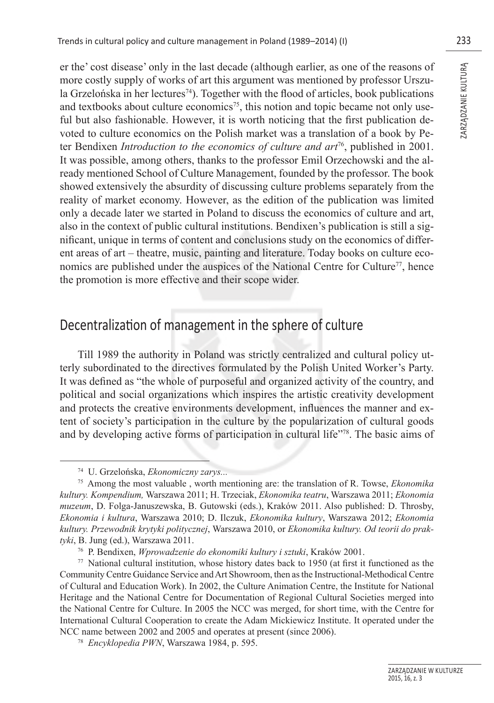er the' cost disease' only in the last decade (although earlier, as one of the reasons of more costly supply of works of art this argument was mentioned by professor Urszula Grzelońska in her lectures<sup>74</sup>). Together with the flood of articles, book publications and textbooks about culture economics<sup>75</sup>, this notion and topic became not only useful but also fashionable. However, it is worth noticing that the first publication devoted to culture economics on the Polish market was a translation of a book by Peter Bendixen *Introduction to the economics of culture and art*76, published in 2001. It was possible, among others, thanks to the professor Emil Orzechowski and the already mentioned School of Culture Management, founded by the professor. The book showed extensively the absurdity of discussing culture problems separately from the reality of market economy. However, as the edition of the publication was limited only a decade later we started in Poland to discuss the economics of culture and art, also in the context of public cultural institutions. Bendixen's publication is still a significant, unique in terms of content and conclusions study on the economics of different areas of art – theatre, music, painting and literature. Today books on culture economics are published under the auspices of the National Centre for Culture<sup>77</sup>, hence the promotion is more effective and their scope wider.

# Decentralization of management in the sphere of culture

Till 1989 the authority in Poland was strictly centralized and cultural policy utterly subordinated to the directives formulated by the Polish United Worker's Party. It was defined as "the whole of purposeful and organized activity of the country, and political and social organizations which inspires the artistic creativity development and protects the creative environments development, influences the manner and extent of society's participation in the culture by the popularization of cultural goods and by developing active forms of participation in cultural life"78. The basic aims of

<sup>74</sup> U. Grzelońska, *Ekonomiczny zarys...*

<sup>75</sup> Among the most valuable , worth mentioning are: the translation of R. Towse, *Ekonomika kultury. Kompendium,* Warszawa 2011; H. Trzeciak, *Ekonomika teatru*, Warszawa 2011; *Ekonomia muzeum*, D. Folga-Januszewska, B. Gutowski (eds.), Kraków 2011. Also published: D. Throsby, *Ekonomia i kultura*, Warszawa 2010; D. Ilczuk, *Ekonomika kultury*, Warszawa 2012; *Ekonomia kultury. Przewodnik krytyki politycznej*, Warszawa 2010, or *Ekonomika kultury. Od teorii do praktyki*, B. Jung (ed.), Warszawa 2011.

<sup>76</sup> P. Bendixen, *Wprowadzenie do ekonomiki kultury i sztuki*, Kraków 2001.

 $77$  National cultural institution, whose history dates back to 1950 (at first it functioned as the Community Centre Guidance Service and Art Showroom, then as the Instructional-Methodical Centre of Cultural and Education Work). In 2002, the Culture Animation Centre, the Institute for National Heritage and the National Centre for Documentation of Regional Cultural Societies merged into the National Centre for Culture. In 2005 the NCC was merged, for short time, with the Centre for International Cultural Cooperation to create the Adam Mickiewicz Institute. It operated under the NCC name between 2002 and 2005 and operates at present (since 2006).

<sup>78</sup> *Encyklopedia PWN*, Warszawa 1984, p. 595.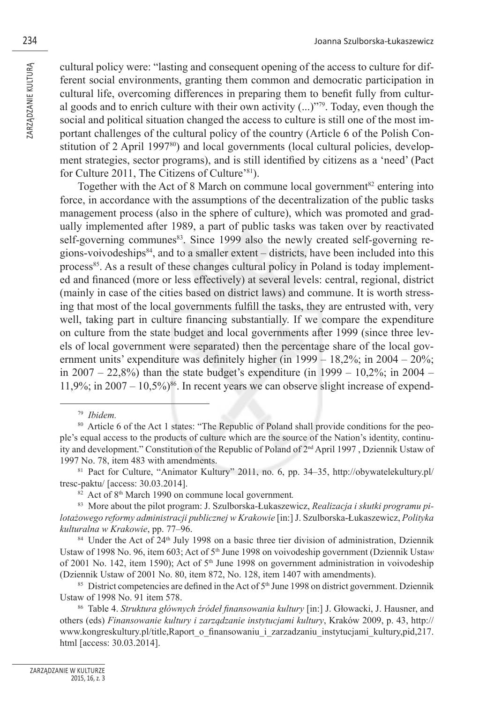cultural policy were: "lasting and consequent opening of the access to culture for different social environments, granting them common and democratic participation in cultural life, overcoming differences in preparing them to benefit fully from cultural goods and to enrich culture with their own activity  $(...)$ <sup>79</sup>. Today, even though the social and political situation changed the access to culture is still one of the most important challenges of the cultural policy of the country (Article 6 of the Polish Constitution of 2 April 1997<sup>80</sup>) and local governments (local cultural policies, development strategies, sector programs), and is still identified by citizens as a 'need' (Pact for Culture 2011, The Citizens of Culture'81).

Together with the Act of 8 March on commune local government<sup>82</sup> entering into force, in accordance with the assumptions of the decentralization of the public tasks management process (also in the sphere of culture), which was promoted and gradually implemented after 1989, a part of public tasks was taken over by reactivated self-governing communes<sup>83</sup>. Since 1999 also the newly created self-governing regions-voivodeships $84$ , and to a smaller extent – districts, have been included into this process<sup>85</sup>. As a result of these changes cultural policy in Poland is today implemented and financed (more or less effectively) at several levels: central, regional, district (mainly in case of the cities based on district laws) and commune. It is worth stressing that most of the local governments fulfill the tasks, they are entrusted with, very well, taking part in culture financing substantially. If we compare the expenditure on culture from the state budget and local governments after 1999 (since three levels of local government were separated) then the percentage share of the local government units' expenditure was definitely higher (in 1999 – 18,2%; in 2004 – 20%; in 2007 – 22,8%) than the state budget's expenditure (in 1999 – 10,2%; in 2004 –  $11,9\%$ ; in  $2007 - 10,5\%$ <sup>86</sup>. In recent years we can observe slight increase of expend-

 $84$  Under the Act of 24<sup>th</sup> July 1998 on a basic three tier division of administration, Dziennik Ustaw of 1998 No. 96, item 603; Act of 5th June 1998 on voivodeship government (Dziennik Usta*w* of 2001 No. 142, item 1590); Act of 5th June 1998 on government administration in voivodeship (Dziennik Ustaw of 2001 No. 80, item 872, No. 128, item 1407 with amendments).

<sup>85</sup> District competencies are defined in the Act of  $5<sup>th</sup>$  June 1998 on district government. Dziennik Ustaw of 1998 No. 91 item 578.

86 Table 4. *Struktura głównych źródeł finansowania kultury* [in:] J. Głowacki, J. Hausner, and others (eds) *Finansowanie kultury i zarządzanie instytucjami kultury*, Kraków 2009, p. 43, http:// www.kongreskultury.pl/title,Raport\_o\_finansowaniu\_i\_zarzadzaniu\_instytucjami\_kultury,pid,217. html [access: 30.03.2014].

<sup>79</sup> *Ibidem.*

<sup>&</sup>lt;sup>80</sup> Article 6 of the Act 1 states: "The Republic of Poland shall provide conditions for the people's equal access to the products of culture which are the source of the Nation's identity, continuity and development." Constitution of the Republic of Poland of 2nd April 1997 , Dziennik Ustaw of 1997 No. 78, item 483 with amendments.

<sup>81</sup> Pact for Culture, "Animator Kultury" 2011, no. 6, pp. 34–35, http://obywatelekultury.pl/ tresc-paktu/ [access: 30.03.2014].

<sup>82</sup> Act of 8th March 1990 on commune local government*.*

<sup>83</sup> More about the pilot program: J. Szulborska-Łukaszewicz, *Realizacja i skutki programu pilotażowego reformy administracji publicznej w Krakowie* [in:] J. Szulborska-Łukaszewicz, *Polityka kulturalna w Krakowie*, pp. 77–96.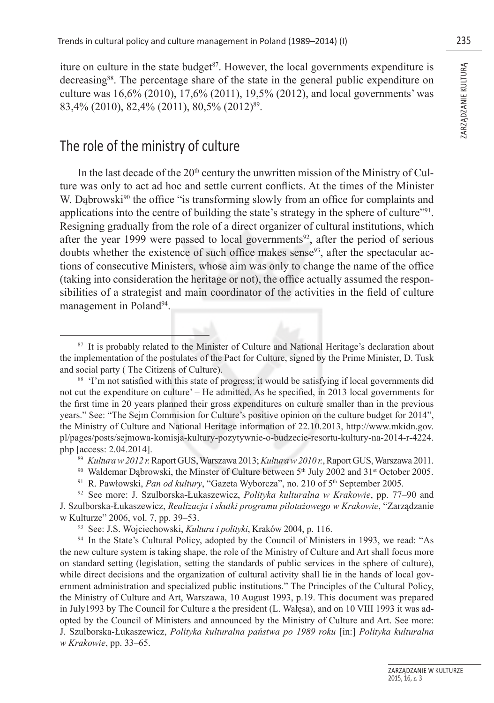iture on culture in the state budget<sup>87</sup>. However, the local governments expenditure is decreasing<sup>88</sup>. The percentage share of the state in the general public expenditure on culture was 16,6% (2010), 17,6% (2011), 19,5% (2012), and local governments' was 83,4% (2010), 82,4% (2011), 80,5% (2012)89.

## The role of the ministry of culture

In the last decade of the  $20<sup>th</sup>$  century the unwritten mission of the Ministry of Culture was only to act ad hoc and settle current conflicts. At the times of the Minister W. Dąbrowski<sup>90</sup> the office "is transforming slowly from an office for complaints and applications into the centre of building the state's strategy in the sphere of culture"91. Resigning gradually from the role of a direct organizer of cultural institutions, which after the year 1999 were passed to local governments<sup>92</sup>, after the period of serious doubts whether the existence of such office makes sense<sup>93</sup>, after the spectacular actions of consecutive Ministers, whose aim was only to change the name of the office (taking into consideration the heritage or not), the office actually assumed the responsibilities of a strategist and main coordinator of the activities in the field of culture management in Poland<sup>94</sup>.

<sup>&</sup>lt;sup>87</sup> It is probably related to the Minister of Culture and National Heritage's declaration about the implementation of the postulates of the Pact for Culture, signed by the Prime Minister, D. Tusk and social party ( The Citizens of Culture).

<sup>&</sup>lt;sup>88</sup> 'I'm not satisfied with this state of progress; it would be satisfying if local governments did not cut the expenditure on culture' – He admitted. As he specified, in 2013 local governments for the first time in 20 years planned their gross expenditures on culture smaller than in the previous years." See: "The Sejm Commision for Culture's positive opinion on the culture budget for 2014", the Ministry of Culture and National Heritage information of 22.10.2013, http://www.mkidn.gov. pl/pages/posts/sejmowa-komisja-kultury-pozytywnie-o-budzecie-resortu-kultury-na-2014-r-4224. php [access: 2.04.2014].

<sup>89</sup> *Kultura w 2012 r.* Raport GUS, Warszawa 2013; *Kultura w 2010 r.*, Raport GUS, Warszawa 2011.

<sup>&</sup>lt;sup>90</sup> Waldemar Dąbrowski, the Minster of Culture between  $5<sup>th</sup>$  July 2002 and 31<sup>st</sup> October 2005.<br><sup>91</sup> R. Pawłowski, *Pan od kultury*, "Gazeta Wyborcza", no. 210 of  $5<sup>th</sup>$  September 2005.

<sup>92</sup> See more: J. Szulborska-Łukaszewicz, *Polityka kulturalna w Krakowie*, pp. 77–90 and J. Szulborska-Łukaszewicz, *Realizacja i skutki programu pilotażowego w Krakowie*, "Zarządzanie w Kulturze" 2006, vol. 7, pp. 39–53.

<sup>93</sup> See: J.S. Wojciechowski, *Kultura i polityki*, Kraków 2004, p. 116.

<sup>&</sup>lt;sup>94</sup> In the State's Cultural Policy, adopted by the Council of Ministers in 1993, we read: "As the new culture system is taking shape, the role of the Ministry of Culture and Art shall focus more on standard setting (legislation, setting the standards of public services in the sphere of culture), while direct decisions and the organization of cultural activity shall lie in the hands of local government administration and specialized public institutions." The Principles of the Cultural Policy, the Ministry of Culture and Art, Warszawa, 10 August 1993, p.19. This document was prepared in July1993 by The Council for Culture a the president (L. Wałęsa), and on 10 VIII 1993 it was adopted by the Council of Ministers and announced by the Ministry of Culture and Art. See more: J. Szulborska-Łukaszewicz, *Polityka kulturalna państwa po 1989 roku* [in:] *Polityka kulturalna w Krakowie*, pp. 33–65.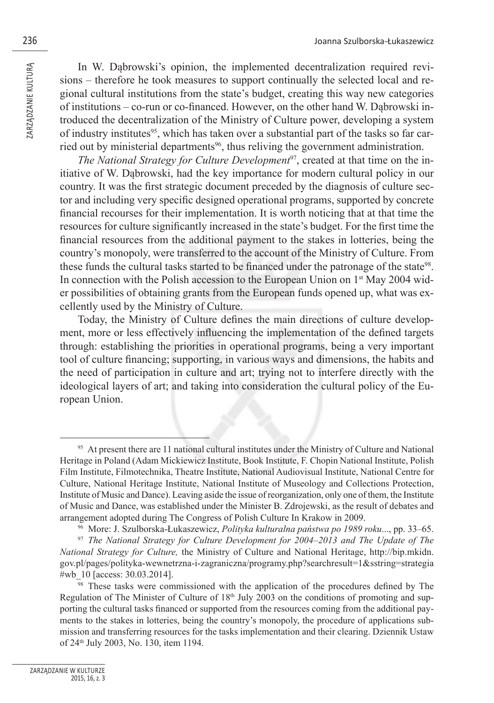In W. Dąbrowski's opinion, the implemented decentralization required revisions – therefore he took measures to support continually the selected local and regional cultural institutions from the state's budget, creating this way new categories of institutions – co-run or co-financed. However, on the other hand W. Dabrowski introduced the decentralization of the Ministry of Culture power, developing a system of industry institutes<sup>95</sup>, which has taken over a substantial part of the tasks so far carried out by ministerial departments<sup>96</sup>, thus reliving the government administration.

*The National Strategy for Culture Development*97, created at that time on the initiative of W. Dąbrowski, had the key importance for modern cultural policy in our country. It was the first strategic document preceded by the diagnosis of culture sector and including very specific designed operational programs, supported by concrete financial recourses for their implementation. It is worth noticing that at that time the resources for culture significantly increased in the state's budget. For the first time the financial resources from the additional payment to the stakes in lotteries, being the country's monopoly, were transferred to the account of the Ministry of Culture. From these funds the cultural tasks started to be financed under the patronage of the state<sup>98</sup>. In connection with the Polish accession to the European Union on  $1<sup>st</sup>$  May 2004 wider possibilities of obtaining grants from the European funds opened up, what was excellently used by the Ministry of Culture.

Today, the Ministry of Culture defines the main directions of culture development, more or less effectively influencing the implementation of the defined targets through: establishing the priorities in operational programs, being a very important tool of culture financing; supporting, in various ways and dimensions, the habits and the need of participation in culture and art; trying not to interfere directly with the ideological layers of art; and taking into consideration the cultural policy of the European Union.

<sup>&</sup>lt;sup>95</sup> At present there are 11 national cultural institutes under the Ministry of Culture and National Heritage in Poland (Adam Mickiewicz Institute, Book Institute, F. Chopin National Institute, Polish Film Institute, Filmotechnika, Theatre Institute, National Audiovisual Institute, National Centre for Culture, National Heritage Institute, National Institute of Museology and Collections Protection, Institute of Music and Dance). Leaving aside the issue of reorganization, only one of them, the Institute of Music and Dance, was established under the Minister B. Zdrojewski, as the result of debates and arrangement adopted during The Congress of Polish Culture In Krakow in 2009.

<sup>96</sup> More: J. Szulborska-Łukaszewicz, *Polityka kulturalna państwa po 1989 roku*..., pp. 33–65.

<sup>97</sup> *The National Strategy for Culture Development for 2004–2013 and The Update of The National Strategy for Culture,* the Ministry of Culture and National Heritage, http://bip.mkidn. gov.pl/pages/polityka-wewnetrzna-i-zagraniczna/programy.php?searchresult=1&sstring=strategia #wb\_10 [access: 30.03.2014].

<sup>&</sup>lt;sup>98</sup> These tasks were commissioned with the application of the procedures defined by The Regulation of The Minister of Culture of 18<sup>th</sup> July 2003 on the conditions of promoting and supporting the cultural tasks financed or supported from the resources coming from the additional payments to the stakes in lotteries, being the country's monopoly, the procedure of applications submission and transferring resources for the tasks implementation and their clearing. Dziennik Ustaw of 24th July 2003, No. 130, item 1194.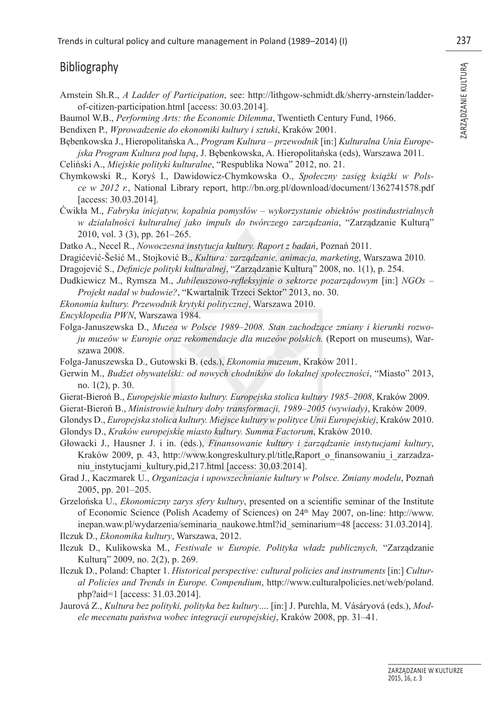#### Bibliography

- Arnstein Sh.R., *A Ladder of Participation*, see: http://lithgow-schmidt.dk/sherry-arnstein/ladderof-citizen-participation.html [access: 30.03.2014].
- Baumol W.B., *Performing Arts: the Economic Dilemma*, Twentieth Century Fund, 1966.
- Bendixen P., *Wprowadzenie do ekonomiki kultury i sztuki*, Kraków 2001.
- Bębenkowska J., Hieropolitańska A., *Program Kultura przewodnik* [in:] *Kulturalna Unia Europejska Program Kultura pod lupą*, J. Bębenkowska, A. Hieropolitańska (eds), Warszawa 2011.
- Celiński A., *Miejskie polityki kulturalne*, "Respublika Nowa" 2012, no. 21.
- Chymkowski R., Koryś I., Dawidowicz-Chymkowska O., *Społeczny zasięg książki w Polsce w 2012 r.*, National Library report, http://bn.org.pl/download/document/1362741578.pdf [access: 30.03.2014].
- Ćwikła M., *Fabryka inicjatyw, kopalnia pomysłów wykorzystanie obiektów postindustrialnych w działalności kulturalnej jako impuls do twórczego zarządzania*, "Zarządzanie Kulturą" 2010, vol. 3 (3), pp. 261–265.
- Datko A., Necel R., *Nowoczesna instytucja kultury. Raport z badań*, Poznań 2011.
- Dragićević-Šešić M., Stojković B., *Kultura: zarządzanie, animacja, marketing*, Warszawa 2010*.*
- Dragojević S., *Definicje polityki kulturalnej*, "Zarządzanie Kulturą" 2008, no. 1(1), p. 254.
- Dudkiewicz M., Rymsza M., *Jubileuszowo-refleksyjnie o sektorze pozarządowym* [in:] *NGOs Projekt nadal w budowie?*, "Kwartalnik Trzeci Sektor" 2013, no. 30.
- *Ekonomia kultury. Przewodnik krytyki politycznej*, Warszawa 2010.
- *Encyklopedia PWN*, Warszawa 1984.
- Folga-Januszewska D., *Muzea w Polsce 1989–2008. Stan zachodzące zmiany i kierunki rozwoju muzeów w Europie oraz rekomendacje dla muzeów polskich.* (Report on museums), Warszawa 2008.
- Folga-Januszewska D., Gutowski B. (eds.), *Ekonomia muzeum*, Kraków 2011.
- Gerwin M., *Budżet obywatelski: od nowych chodników do lokalnej społeczności*, "Miasto" 2013, no. 1(2), p. 30.
- Gierat-Bieroń B., *Europejskie miasto kultury. Europejska stolica kultury 1985–2008*, Kraków 2009.
- Gierat-Bieroń B., *Ministrowie kultury doby transformacji, 1989–2005 (wywiady)*, Kraków 2009.
- Glondys D., *Europejska stolica kultury. Miejsce kultury w polityce Unii Europejskiej*, Kraków 2010. Glondys D., *Kraków europejskie miasto kultury. Summa Factorum*, Kraków 2010.
- Głowacki J., Hausner J. i in. (eds.), *Finansowanie kultury i zarządzanie instytucjami kultury*, Kraków 2009, p. 43, http://www.kongreskultury.pl/title,Raport o finansowaniu i zarzadzaniu instytucjami kultury,pid,217.html [access: 30.03.2014].
- Grad J., Kaczmarek U., *Organizacja i upowszechnianie kultury w Polsce. Zmiany modelu*, Poznań 2005, pp. 201–205.
- Grzelońska U., *Ekonomiczny zarys sfery kultury*, presented on a scientific seminar of the Institute of Economic Science (Polish Academy of Sciences) on 24th May 2007, on-line: http://www. inepan.waw.pl/wydarzenia/seminaria\_naukowe.html?id\_seminarium=48 [access: 31.03.2014].

Ilczuk D., *Ekonomika kultury*, Warszawa, 2012.

- Ilczuk D., Kulikowska M., *Festiwale w Europie. Polityka władz publicznych,* "Zarządzanie Kulturą" 2009, no. 2(2), p. 269.
- Ilczuk D., Poland: Chapter 1. *Historical perspective: cultural policies and instruments* [in:] *Cultural Policies and Trends in Europe. Compendium*, http://www.culturalpolicies.net/web/poland. php?aid=1 [access: 31.03.2014].
- Jaurová Z., *Kultura bez polityki, polityka bez kultury*.... [in:] J. Purchla, M. Vásáryová (eds.), *Modele mecenatu państwa wobec integracji europejskiej*, Kraków 2008, pp. 31–41.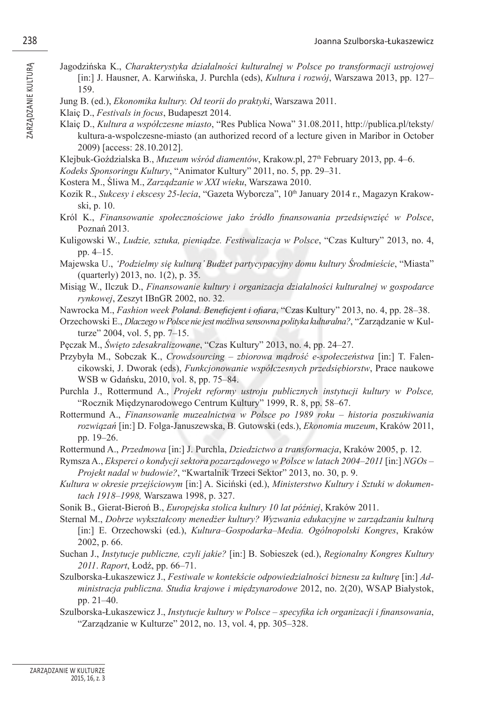- Jagodzińska K., *Charakterystyka działalności kulturalnej w Polsce po transformacji ustrojowej*  [in:] J. Hausner, A. Karwińska, J. Purchla (eds), *Kultura i rozwój*, Warszawa 2013, pp. 127– 159.
- Jung B. (ed.), *Ekonomika kultury. Od teorii do praktyki*, Warszawa 2011.
- Klaiç D., *Festivals in focus*, Budapeszt 2014.
- Klaiç D., *Kultura a współczesne miasto*, "Res Publica Nowa" 31.08.2011, http://publica.pl/teksty/ kultura-a-wspolczesne-miasto (an authorized record of a lecture given in Maribor in October 2009) [access: 28.10.2012].
- Klejbuk-Goździalska B., *Muzeum wśród diamentów*, Krakow.pl, 27th February 2013, pp. 4–6.
- *Kodeks Sponsoringu Kultury*, "Animator Kultury" 2011, no. 5, pp. 29–31.
- Kostera M., Śliwa M., *Zarządzanie w XXI wieku*, Warszawa 2010.
- Kozik R., *Sukcesy i ekscesy 25-lecia*, "Gazeta Wyborcza", 10<sup>th</sup> January 2014 r., Magazyn Krakowski, p. 10.
- Król K., *Finansowanie społecznościowe jako źródło fi nansowania przedsięwzięć w Polsce*, Poznań 2013.
- Kuligowski W., *Ludzie, sztuka, pieniądze. Festiwalizacja w Polsce*, "Czas Kultury" 2013, no. 4, pp. 4–15.
- Majewska U., *'Podzielmy się kulturą' Budżet partycypacyjny domu kultury Środmieście*, "Miasta" (quarterly) 2013, no. 1(2), p. 35.
- Misiąg W., Ilczuk D., *Finansowanie kultury i organizacja działalności kulturalnej w gospodarce rynkowej*, Zeszyt IBnGR 2002, no. 32.
- Nawrocka M., *Fashion week Poland. Beneficient i ofiara*, "Czas Kultury" 2013, no. 4, pp. 28–38.
- Orzechowski E., *Dlaczego w Polsce nie jest możliwa sensowna polityka kulturalna?*, "Zarządzanie w Kulturze" 2004, vol. 5, pp. 7–15.
- Pęczak M., *Święto zdesakralizowane*, "Czas Kultury" 2013, no. 4, pp. 24–27.
- Przybyła M., Sobczak K., *Crowdsourcing zbiorowa mądrość e-społeczeństwa* [in:] T. Falencikowski, J. Dworak (eds), *Funkcjonowanie współczesnych przedsiębiorstw*, Prace naukowe WSB w Gdańsku, 2010, vol. 8, pp. 75–84.
- Purchla J., Rottermund A., *Projekt reformy ustroju publicznych instytucji kultury w Polsce,* " Rocznik Międzynarodowego Centrum Kultury" 1999, R. 8, pp. 58–67.
- Rottermund A., *Finansowanie muzealnictwa w Polsce po 1989 roku historia poszukiwania rozwiązań* [in:] D. Folga-Januszewska, B. Gutowski (eds.), *Ekonomia muzeum*, Kraków 2011, pp. 19–26.
- Rottermund A., *Przedmowa* [in:] J. Purchla, *Dziedzictwo a transformacja*, Kraków 2005, p. 12.
- Rymsza A., *Eksperci o kondycji sektora pozarządowego w Polsce w latach 2004–2011* [in:] *NGOs Projekt nadal w budowie?*, "Kwartalnik Trzeci Sektor" 2013, no. 30, p. 9.
- *Kultura w okresie przejściowym* [in:] A. Siciński (ed.), *Ministerstwo Kultury i Sztuki w dokumentach 1918–1998,* Warszawa 1998, p. 327.
- Sonik B., Gierat-Bieroń B., *Europejska stolica kultury 10 lat później*, Kraków 2011.
- Sternal M., *Dobrze wykształcony menedżer kultury? Wyzwania edukacyjne w zarządzaniu kulturą* [in:] E. Orzechowski (ed.), *Kultura–Gospodarka–Media. Ogólnopolski Kongres*, Kraków 2002, p. 66.
- Suchan J., *Instytucje publiczne, czyli jakie?* [in:] B. Sobieszek (ed.), *Regionalny Kongres Kultury 2011*. *Raport*, Łodź, pp. 66–71.
- Szulborska-Łukaszewicz J., *Festiwale w kontekście odpowiedzialności biznesu za kulturę* [in:] *Administracja publiczna. Studia krajowe i międzynarodowe* 2012, no. 2(20), WSAP Białystok, pp. 21–40.
- Szulborska-Łukaszewicz J., *Instytucje kultury w Polsce specyfika ich organizacji i finansowania*, "Zarządzanie w Kulturze" 2012, no. 13, vol. 4, pp. 305–328.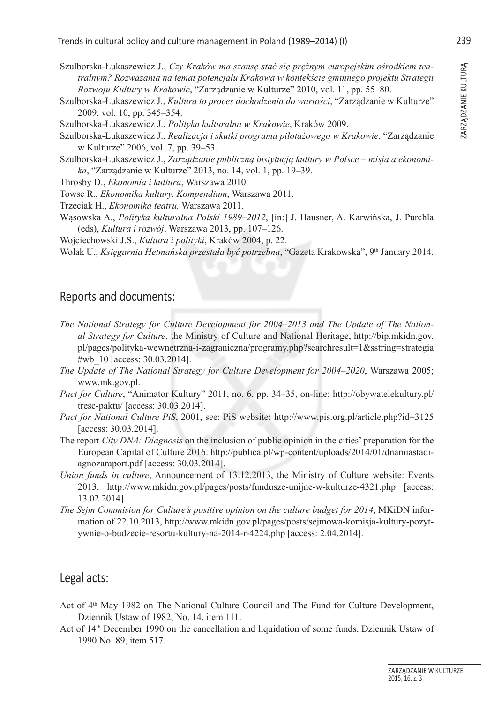- Szulborska-Łukaszewicz J., *Czy Kraków ma szansę stać się prężnym europejskim ośrodkiem tea-*<br> *tralnym? Rozważania na temat potencjału Krakowa w kontekście gminnego projektu Strategii*<br> *Rozwoju Kultury w Krakowie,* "Zarz *tralnym? Rozważania na temat potencjału Krakowa w kontekście gminnego projektu Strategii Rozwoju Kultury w Krakowie*, "Zarządzanie w Kulturze" 2010, vol. 11, pp. 55–80.
- Szulborska-Łukaszewicz J., *Kultura to proces dochodzenia do wartości*, "Zarządzanie w Kulturze" 2009, vol. 10, pp. 345–354.

Szulborska-Łukaszewicz J., *Polityka kulturalna w Krakowie*, Kraków 2009.

- Szulborska-Łukaszewicz J., *Realizacja i skutki programu pilotażowego w Krakowie*, "Zarządzanie w Kulturze" 2006, vol. 7, pp. 39–53.
- Szulborska-Łukaszewicz J., *Zarządzanie publiczną instytucją kultury w Polsce misja a ekonomika*, "Zarządzanie w Kulturze" 2013, no. 14, vol. 1, pp. 19–39.
- Throsby D., *Ekonomia i kultura*, Warszawa 2010.
- Towse R., *Ekonomika kultury. Kompendium*, Warszawa 2011.
- Trzeciak H., *Ekonomika teatru,* Warszawa 2011.
- Wąsowska A., *Polityka kulturalna Polski 1989–2012*, [in:] J. Hausner, A. Karwińska, J. Purchla (eds), *Kultura i rozwój*, Warszawa 2013, pp. 107–126.
- Wojciechowski J.S., *Kultura i polityki*, Kraków 2004, p. 22.
- Wolak U., *Księgarnia Hetmańska przestała być potrzebna*, "Gazeta Krakowska", 9th January 2014.

#### Reports and documents:

- *The National Strategy for Culture Development for 2004–2013 and The Update of The National Strategy for Culture*, the Ministry of Culture and National Heritage, http://bip.mkidn.gov. pl/pages/polityka-wewnetrzna-i-zagraniczna/programy.php?searchresult=1&sstring=strategia #wb\_10 [access: 30.03.2014].
- *The Update of The National Strategy for Culture Development for 2004–2020*, Warszawa 2005; www.mk.gov.pl.
- *Pact for Culture*, "Animator Kultury" 2011, no. 6, pp. 34–35, on-line: http://obywatelekultury.pl/ tresc-paktu/ [access: 30.03.2014].
- *Pact for National Culture PiS*, 2001, see: PiS website: http://www.pis.org.pl/article.php?id=3125 [access: 30.03.2014].
- The report *City DNA: Diagnosis* on the inclusion of public opinion in the cities' preparation for the European Capital of Culture 2016. http://publica.pl/wp-content/uploads/2014/01/dnamiastadiagnozaraport.pdf [access: 30.03.2014].
- *Union funds in culture*, Announcement of 13.12.2013, the Ministry of Culture website: Events 2013, http://www.mkidn.gov.pl/pages/posts/fundusze-unijne-w-kulturze-4321.php [access: 13.02.2014].
- *The Sejm Commision for Culture's positive opinion on the culture budget for 2014*, MKiDN information of 22.10.2013, http://www.mkidn.gov.pl/pages/posts/sejmowa-komisja-kultury-pozytywnie-o-budzecie-resortu-kultury-na-2014-r-4224.php [access: 2.04.2014].

#### Legal acts:

- Act of  $4<sup>th</sup>$  May 1982 on The National Culture Council and The Fund for Culture Development, Dziennik Ustaw of 1982, No. 14, item 111.
- Act of 14th December 1990 on the cancellation and liquidation of some funds, Dziennik Ustaw of 1990 No. 89, item 517.